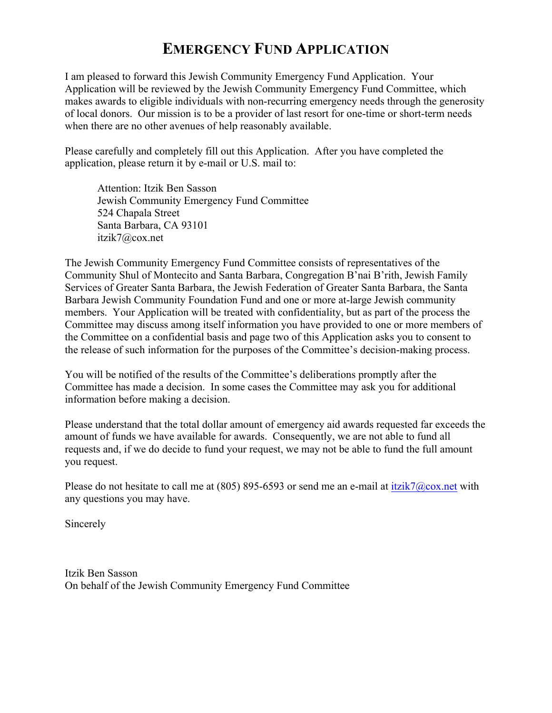## **EMERGENCY FUND APPLICATION**

I am pleased to forward this Jewish Community Emergency Fund Application. Your Application will be reviewed by the Jewish Community Emergency Fund Committee, which makes awards to eligible individuals with non-recurring emergency needs through the generosity of local donors. Our mission is to be a provider of last resort for one-time or short-term needs when there are no other avenues of help reasonably available.

Please carefully and completely fill out this Application. After you have completed the application, please return it by e-mail or U.S. mail to:

Attention: Itzik Ben Sasson Jewish Community Emergency Fund Committee 524 Chapala Street Santa Barbara, CA 93101 itzik7@cox.net

The Jewish Community Emergency Fund Committee consists of representatives of the Community Shul of Montecito and Santa Barbara, Congregation B'nai B'rith, Jewish Family Services of Greater Santa Barbara, the Jewish Federation of Greater Santa Barbara, the Santa Barbara Jewish Community Foundation Fund and one or more at-large Jewish community members. Your Application will be treated with confidentiality, but as part of the process the Committee may discuss among itself information you have provided to one or more members of the Committee on a confidential basis and page two of this Application asks you to consent to the release of such information for the purposes of the Committee's decision-making process.

You will be notified of the results of the Committee's deliberations promptly after the Committee has made a decision. In some cases the Committee may ask you for additional information before making a decision.

Please understand that the total dollar amount of emergency aid awards requested far exceeds the amount of funds we have available for awards. Consequently, we are not able to fund all requests and, if we do decide to fund your request, we may not be able to fund the full amount you request.

Please do not hesitate to call me at (805) 895-6593 or send me an e-mail at itzik7@cox.net with any questions you may have.

Sincerely

Itzik Ben Sasson On behalf of the Jewish Community Emergency Fund Committee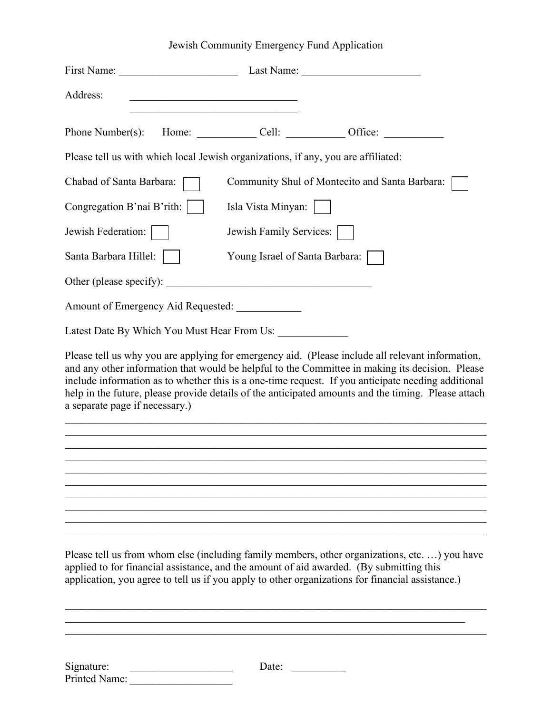## Jewish Community Emergency Fund Application

| First Name:                                      |                                                                                                                       | Last Name:                                                                                                                                                                                                                                                                                                                                                                                                       |
|--------------------------------------------------|-----------------------------------------------------------------------------------------------------------------------|------------------------------------------------------------------------------------------------------------------------------------------------------------------------------------------------------------------------------------------------------------------------------------------------------------------------------------------------------------------------------------------------------------------|
| Address:                                         | <u> 1980 - Johann Barbara, martin amerikan basar dan berasal dan berasal dalam basar dalam basar dalam basar dala</u> |                                                                                                                                                                                                                                                                                                                                                                                                                  |
| Phone Number(s):                                 |                                                                                                                       | Home: Cell: Cell: Office:                                                                                                                                                                                                                                                                                                                                                                                        |
|                                                  | Please tell us with which local Jewish organizations, if any, you are affiliated:                                     |                                                                                                                                                                                                                                                                                                                                                                                                                  |
| Chabad of Santa Barbara:                         |                                                                                                                       | Community Shul of Montecito and Santa Barbara:                                                                                                                                                                                                                                                                                                                                                                   |
| Congregation B'nai B'rith:                       | Isla Vista Minyan:                                                                                                    |                                                                                                                                                                                                                                                                                                                                                                                                                  |
| Jewish Federation:                               | Jewish Family Services:                                                                                               |                                                                                                                                                                                                                                                                                                                                                                                                                  |
| Santa Barbara Hillel:                            | Young Israel of Santa Barbara:                                                                                        |                                                                                                                                                                                                                                                                                                                                                                                                                  |
| Other (please specify):                          |                                                                                                                       |                                                                                                                                                                                                                                                                                                                                                                                                                  |
| Amount of Emergency Aid Requested: _____________ |                                                                                                                       |                                                                                                                                                                                                                                                                                                                                                                                                                  |
|                                                  | Latest Date By Which You Must Hear From Us:                                                                           |                                                                                                                                                                                                                                                                                                                                                                                                                  |
| a separate page if necessary.)                   |                                                                                                                       | Please tell us why you are applying for emergency aid. (Please include all relevant information,<br>and any other information that would be helpful to the Committee in making its decision. Please<br>include information as to whether this is a one-time request. If you anticipate needing additional<br>help in the future, please provide details of the anticipated amounts and the timing. Please attach |
|                                                  |                                                                                                                       | Please tell us from whom else (including family members, other organizations, etc) you have<br>applied to for financial assistance, and the amount of aid awarded. (By submitting this<br>application, you agree to tell us if you apply to other organizations for financial assistance.)                                                                                                                       |
| Signature:<br>Printed Name:                      | Date:                                                                                                                 |                                                                                                                                                                                                                                                                                                                                                                                                                  |